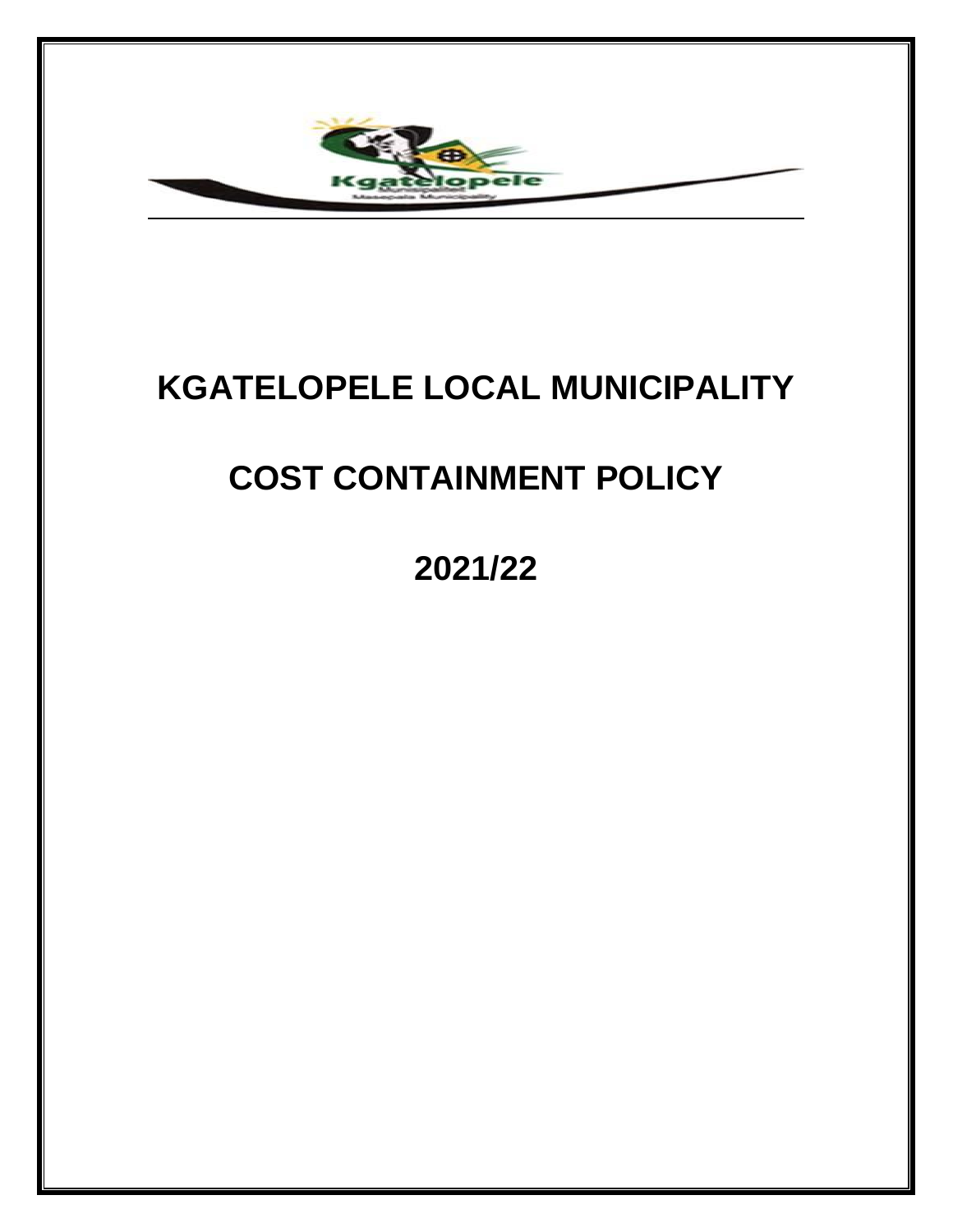

# **KGATELOPELE LOCAL MUNICIPALITY**

# **COST CONTAINMENT POLICY**

**2021/22**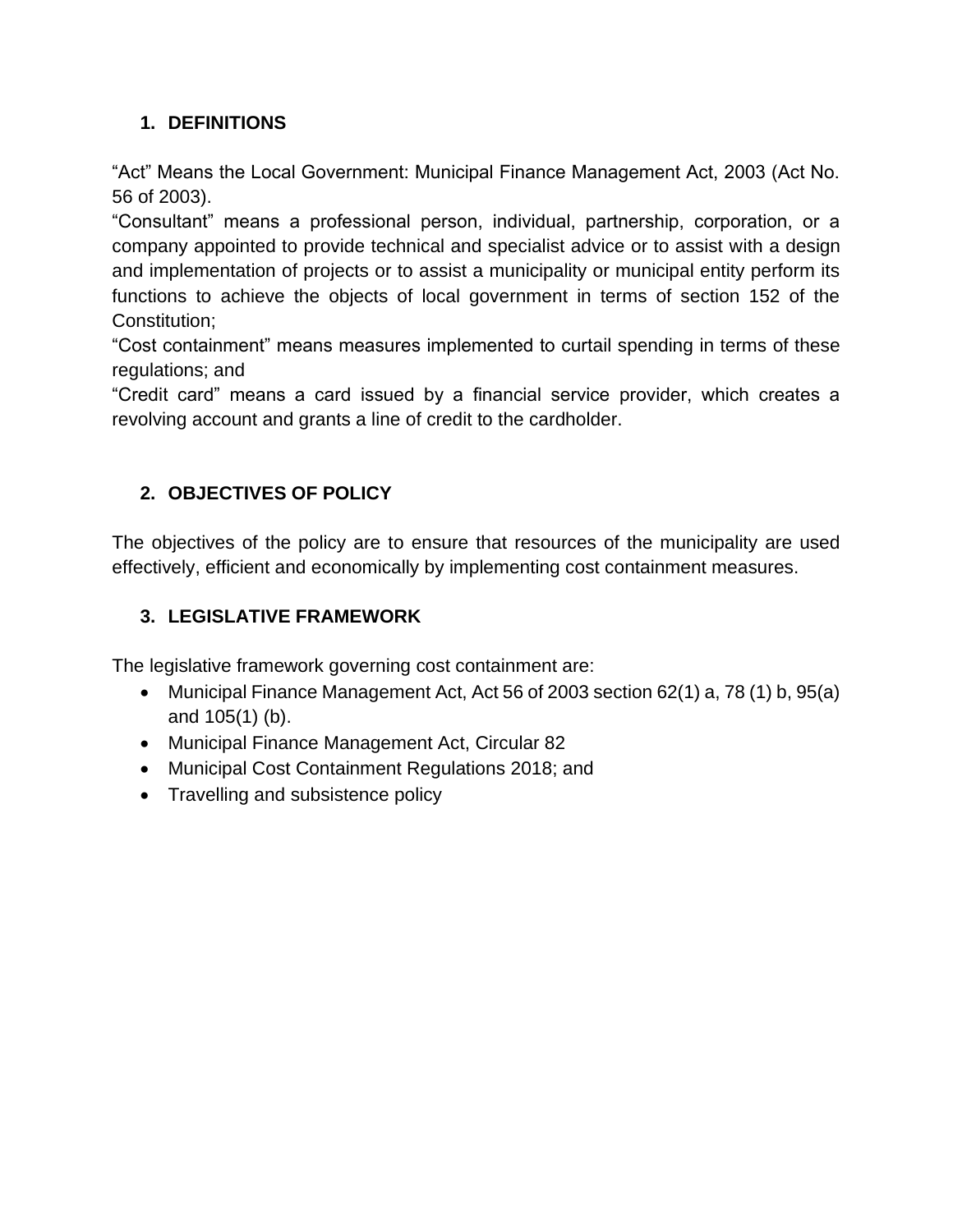## **1. DEFINITIONS**

"Act" Means the Local Government: Municipal Finance Management Act, 2003 (Act No. 56 of 2003).

"Consultant" means a professional person, individual, partnership, corporation, or a company appointed to provide technical and specialist advice or to assist with a design and implementation of projects or to assist a municipality or municipal entity perform its functions to achieve the objects of local government in terms of section 152 of the Constitution;

"Cost containment" means measures implemented to curtail spending in terms of these regulations; and

"Credit card" means a card issued by a financial service provider, which creates a revolving account and grants a line of credit to the cardholder.

## **2. OBJECTIVES OF POLICY**

The objectives of the policy are to ensure that resources of the municipality are used effectively, efficient and economically by implementing cost containment measures.

## **3. LEGISLATIVE FRAMEWORK**

The legislative framework governing cost containment are:

- Municipal Finance Management Act, Act 56 of 2003 section 62(1) a, 78 (1) b, 95(a) and 105(1) (b).
- Municipal Finance Management Act, Circular 82
- Municipal Cost Containment Regulations 2018; and
- Travelling and subsistence policy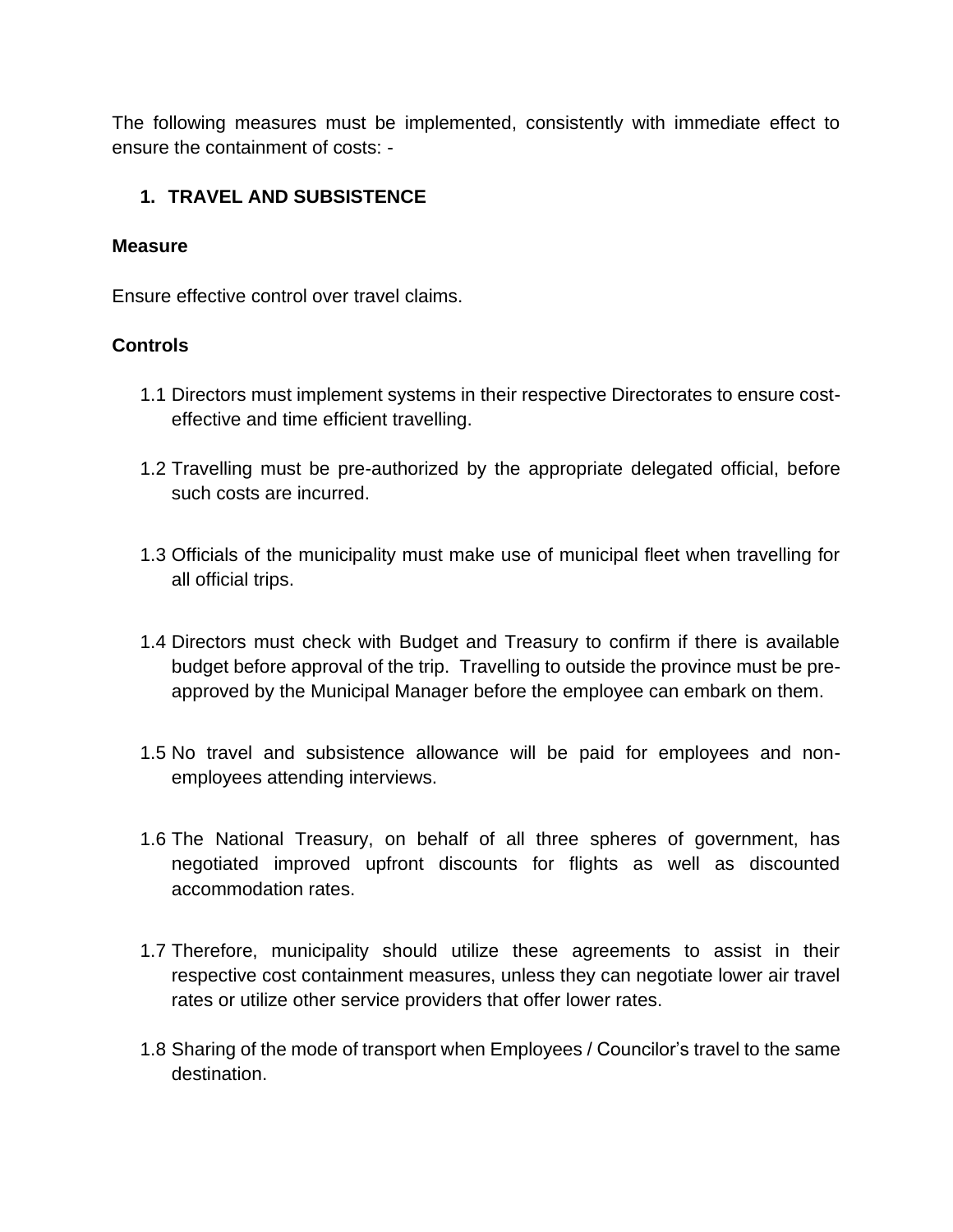The following measures must be implemented, consistently with immediate effect to ensure the containment of costs: -

#### **1. TRAVEL AND SUBSISTENCE**

#### **Measure**

Ensure effective control over travel claims.

#### **Controls**

- 1.1 Directors must implement systems in their respective Directorates to ensure costeffective and time efficient travelling.
- 1.2 Travelling must be pre-authorized by the appropriate delegated official, before such costs are incurred.
- 1.3 Officials of the municipality must make use of municipal fleet when travelling for all official trips.
- 1.4 Directors must check with Budget and Treasury to confirm if there is available budget before approval of the trip. Travelling to outside the province must be preapproved by the Municipal Manager before the employee can embark on them.
- 1.5 No travel and subsistence allowance will be paid for employees and nonemployees attending interviews.
- 1.6 The National Treasury, on behalf of all three spheres of government, has negotiated improved upfront discounts for flights as well as discounted accommodation rates.
- 1.7 Therefore, municipality should utilize these agreements to assist in their respective cost containment measures, unless they can negotiate lower air travel rates or utilize other service providers that offer lower rates.
- 1.8 Sharing of the mode of transport when Employees / Councilor's travel to the same destination.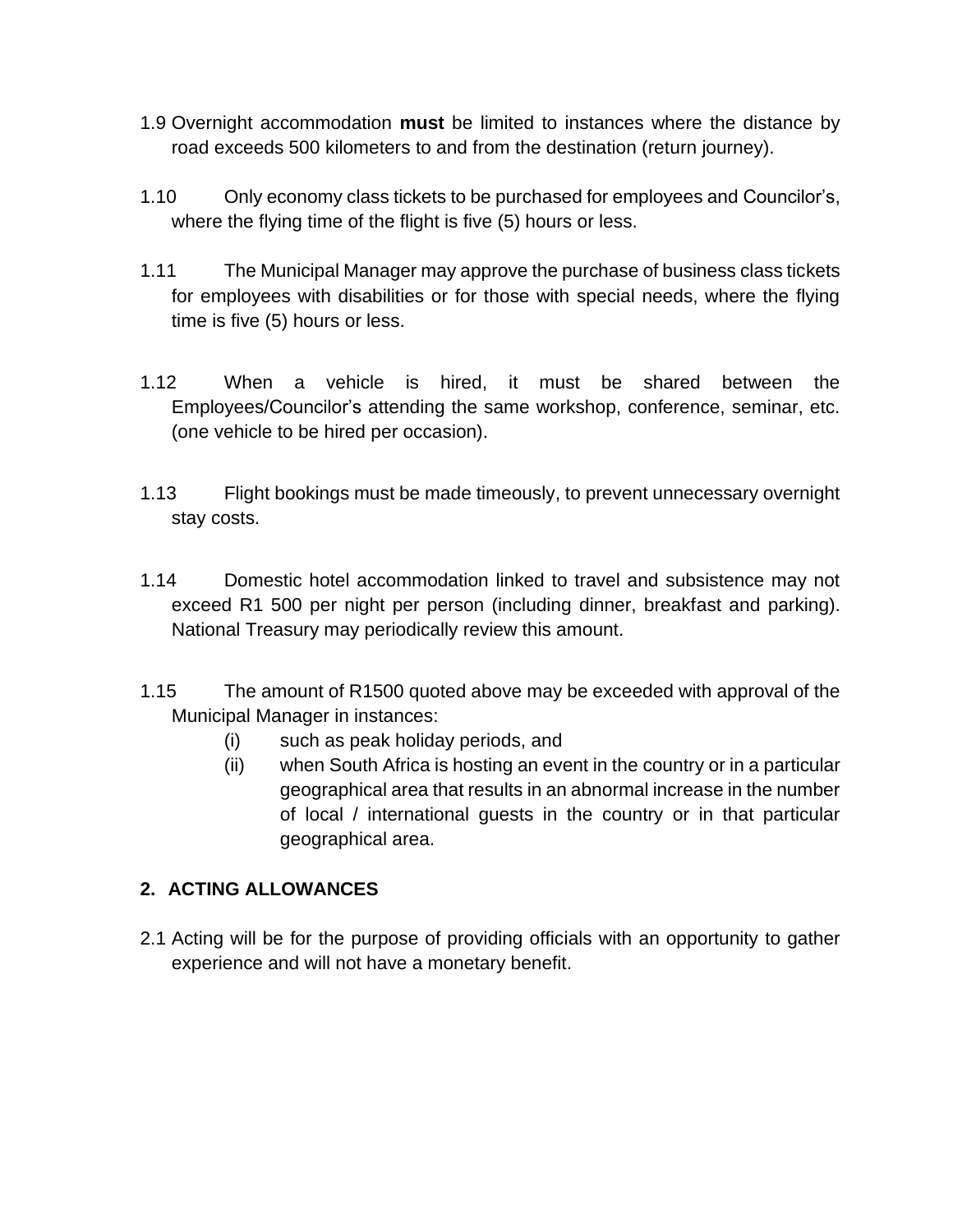- 1.9 Overnight accommodation **must** be limited to instances where the distance by road exceeds 500 kilometers to and from the destination (return journey).
- 1.10 Only economy class tickets to be purchased for employees and Councilor's, where the flying time of the flight is five (5) hours or less.
- 1.11 The Municipal Manager may approve the purchase of business class tickets for employees with disabilities or for those with special needs, where the flying time is five (5) hours or less.
- 1.12 When a vehicle is hired, it must be shared between the Employees/Councilor's attending the same workshop, conference, seminar, etc. (one vehicle to be hired per occasion).
- 1.13 Flight bookings must be made timeously, to prevent unnecessary overnight stay costs.
- 1.14 Domestic hotel accommodation linked to travel and subsistence may not exceed R1 500 per night per person (including dinner, breakfast and parking). National Treasury may periodically review this amount.
- 1.15 The amount of R1500 quoted above may be exceeded with approval of the Municipal Manager in instances:
	- (i) such as peak holiday periods, and
	- (ii) when South Africa is hosting an event in the country or in a particular geographical area that results in an abnormal increase in the number of local / international guests in the country or in that particular geographical area.

## **2. ACTING ALLOWANCES**

2.1 Acting will be for the purpose of providing officials with an opportunity to gather experience and will not have a monetary benefit.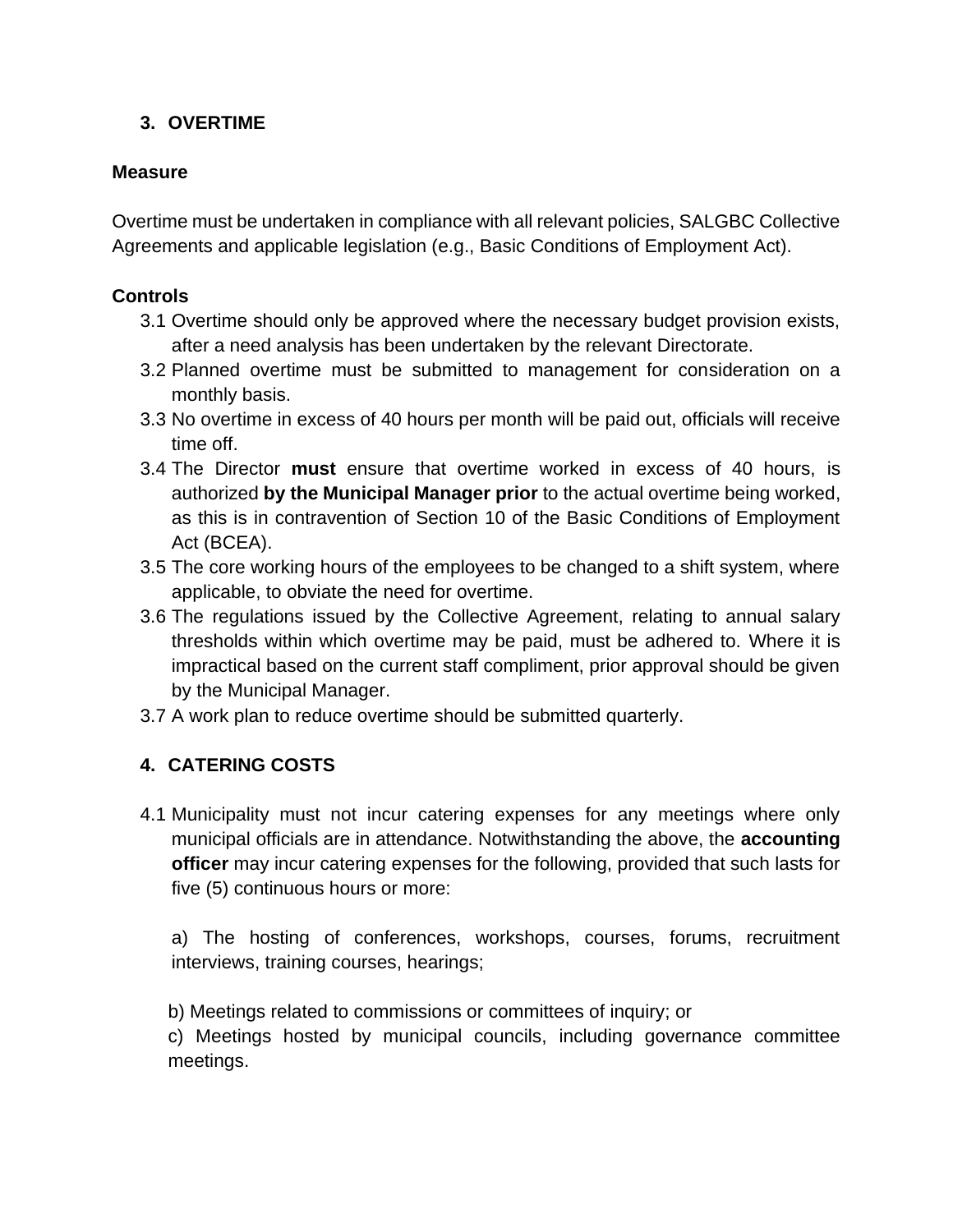#### **3. OVERTIME**

#### **Measure**

Overtime must be undertaken in compliance with all relevant policies, SALGBC Collective Agreements and applicable legislation (e.g., Basic Conditions of Employment Act).

#### **Controls**

- 3.1 Overtime should only be approved where the necessary budget provision exists, after a need analysis has been undertaken by the relevant Directorate.
- 3.2 Planned overtime must be submitted to management for consideration on a monthly basis.
- 3.3 No overtime in excess of 40 hours per month will be paid out, officials will receive time off.
- 3.4 The Director **must** ensure that overtime worked in excess of 40 hours, is authorized **by the Municipal Manager prior** to the actual overtime being worked, as this is in contravention of Section 10 of the Basic Conditions of Employment Act (BCEA).
- 3.5 The core working hours of the employees to be changed to a shift system, where applicable, to obviate the need for overtime.
- 3.6 The regulations issued by the Collective Agreement, relating to annual salary thresholds within which overtime may be paid, must be adhered to. Where it is impractical based on the current staff compliment, prior approval should be given by the Municipal Manager.
- 3.7 A work plan to reduce overtime should be submitted quarterly.

## **4. CATERING COSTS**

4.1 Municipality must not incur catering expenses for any meetings where only municipal officials are in attendance. Notwithstanding the above, the **accounting officer** may incur catering expenses for the following, provided that such lasts for five (5) continuous hours or more:

a) The hosting of conferences, workshops, courses, forums, recruitment interviews, training courses, hearings;

b) Meetings related to commissions or committees of inquiry; or

c) Meetings hosted by municipal councils, including governance committee meetings.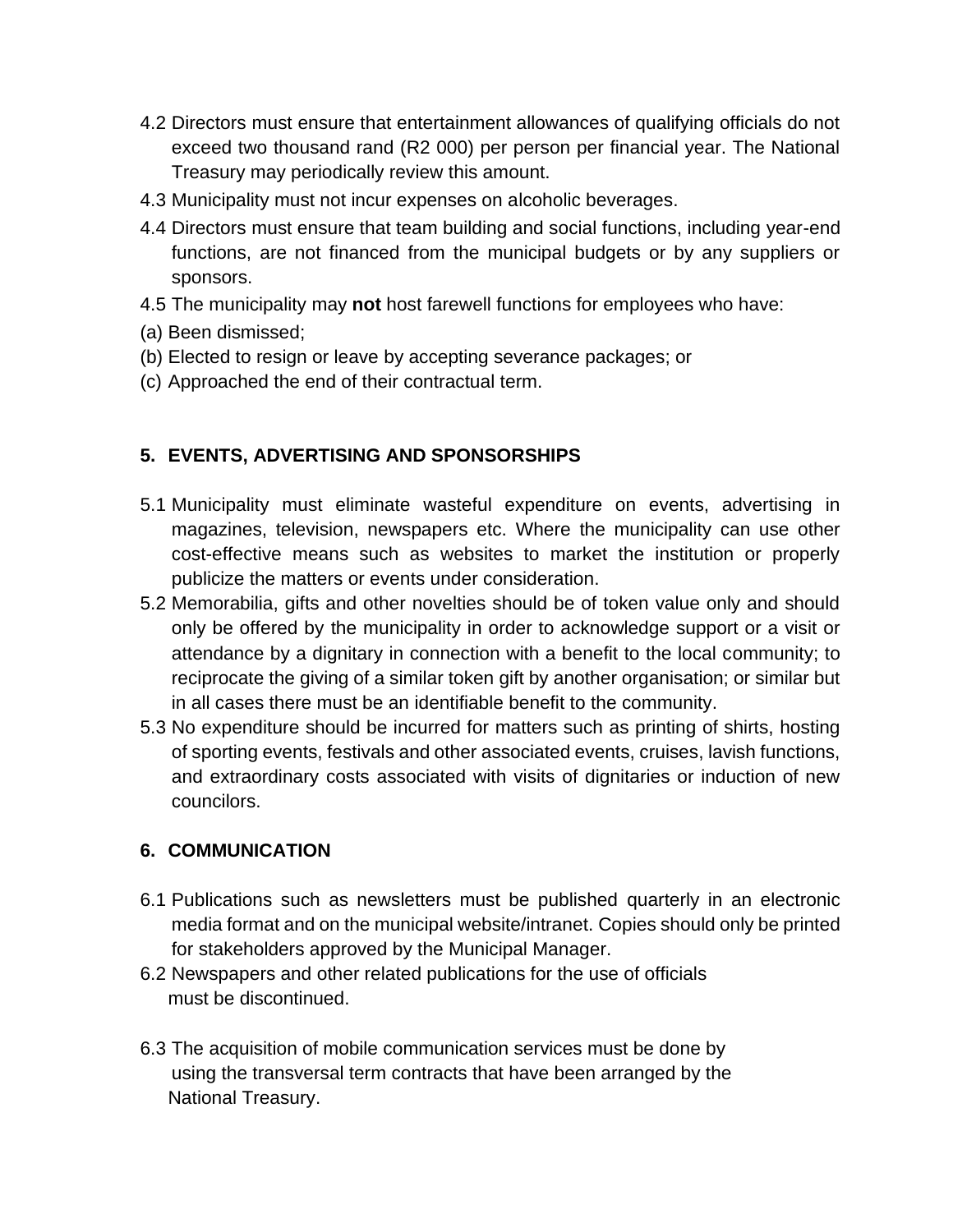- 4.2 Directors must ensure that entertainment allowances of qualifying officials do not exceed two thousand rand (R2 000) per person per financial year. The National Treasury may periodically review this amount.
- 4.3 Municipality must not incur expenses on alcoholic beverages.
- 4.4 Directors must ensure that team building and social functions, including year-end functions, are not financed from the municipal budgets or by any suppliers or sponsors.
- 4.5 The municipality may **not** host farewell functions for employees who have:
- (a) Been dismissed;
- (b) Elected to resign or leave by accepting severance packages; or
- (c) Approached the end of their contractual term.

#### **5. EVENTS, ADVERTISING AND SPONSORSHIPS**

- 5.1 Municipality must eliminate wasteful expenditure on events, advertising in magazines, television, newspapers etc. Where the municipality can use other cost-effective means such as websites to market the institution or properly publicize the matters or events under consideration.
- 5.2 Memorabilia, gifts and other novelties should be of token value only and should only be offered by the municipality in order to acknowledge support or a visit or attendance by a dignitary in connection with a benefit to the local community; to reciprocate the giving of a similar token gift by another organisation; or similar but in all cases there must be an identifiable benefit to the community.
- 5.3 No expenditure should be incurred for matters such as printing of shirts, hosting of sporting events, festivals and other associated events, cruises, lavish functions, and extraordinary costs associated with visits of dignitaries or induction of new councilors.

#### **6. COMMUNICATION**

- 6.1 Publications such as newsletters must be published quarterly in an electronic media format and on the municipal website/intranet. Copies should only be printed for stakeholders approved by the Municipal Manager.
- 6.2 Newspapers and other related publications for the use of officials must be discontinued.
- 6.3 The acquisition of mobile communication services must be done by using the transversal term contracts that have been arranged by the National Treasury.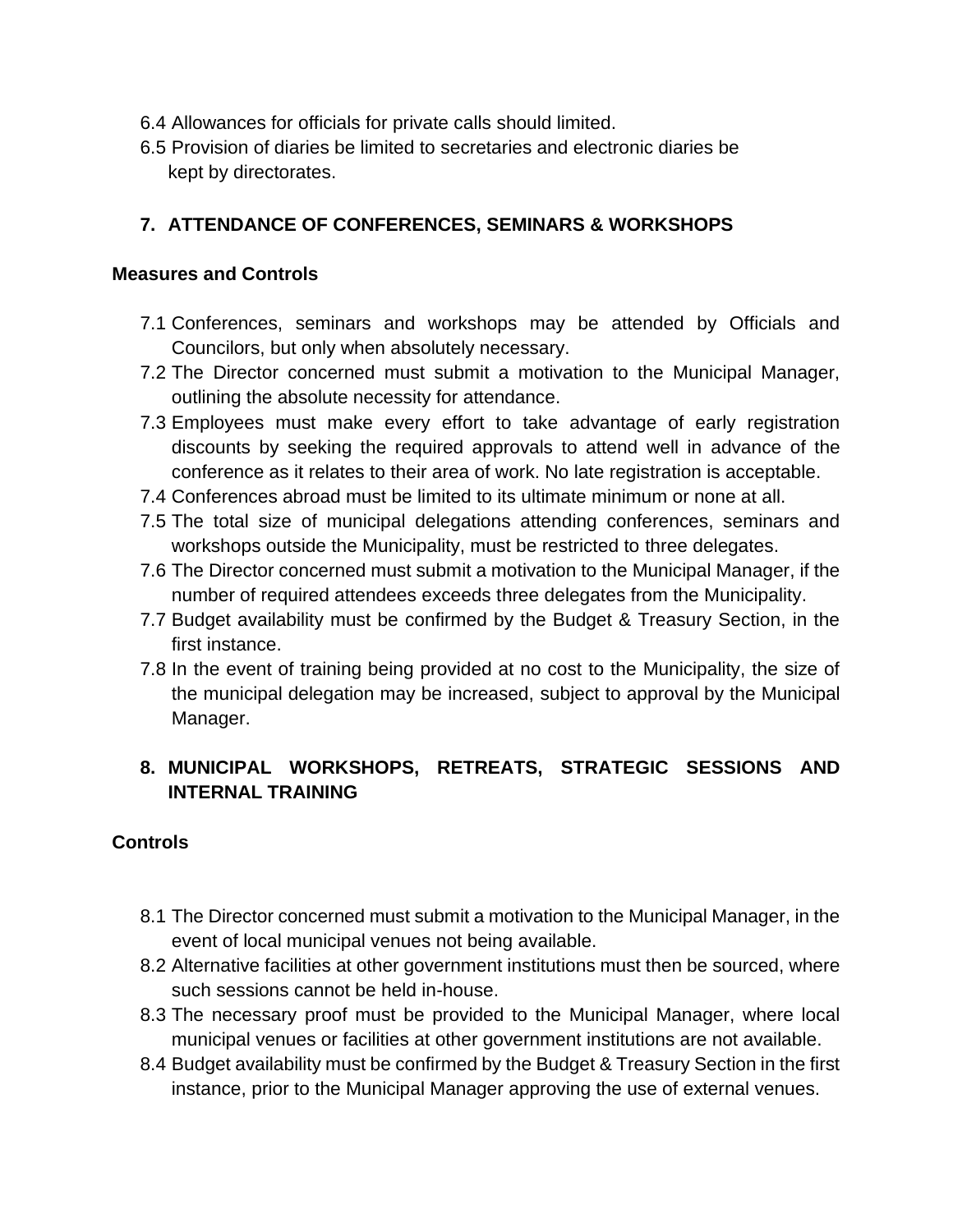- 6.4 Allowances for officials for private calls should limited.
- 6.5 Provision of diaries be limited to secretaries and electronic diaries be kept by directorates.

#### **7. ATTENDANCE OF CONFERENCES, SEMINARS & WORKSHOPS**

#### **Measures and Controls**

- 7.1 Conferences, seminars and workshops may be attended by Officials and Councilors, but only when absolutely necessary.
- 7.2 The Director concerned must submit a motivation to the Municipal Manager, outlining the absolute necessity for attendance.
- 7.3 Employees must make every effort to take advantage of early registration discounts by seeking the required approvals to attend well in advance of the conference as it relates to their area of work. No late registration is acceptable.
- 7.4 Conferences abroad must be limited to its ultimate minimum or none at all.
- 7.5 The total size of municipal delegations attending conferences, seminars and workshops outside the Municipality, must be restricted to three delegates.
- 7.6 The Director concerned must submit a motivation to the Municipal Manager, if the number of required attendees exceeds three delegates from the Municipality.
- 7.7 Budget availability must be confirmed by the Budget & Treasury Section, in the first instance.
- 7.8 In the event of training being provided at no cost to the Municipality, the size of the municipal delegation may be increased, subject to approval by the Municipal Manager.

## **8. MUNICIPAL WORKSHOPS, RETREATS, STRATEGIC SESSIONS AND INTERNAL TRAINING**

#### **Controls**

- 8.1 The Director concerned must submit a motivation to the Municipal Manager, in the event of local municipal venues not being available.
- 8.2 Alternative facilities at other government institutions must then be sourced, where such sessions cannot be held in-house.
- 8.3 The necessary proof must be provided to the Municipal Manager, where local municipal venues or facilities at other government institutions are not available.
- 8.4 Budget availability must be confirmed by the Budget & Treasury Section in the first instance, prior to the Municipal Manager approving the use of external venues.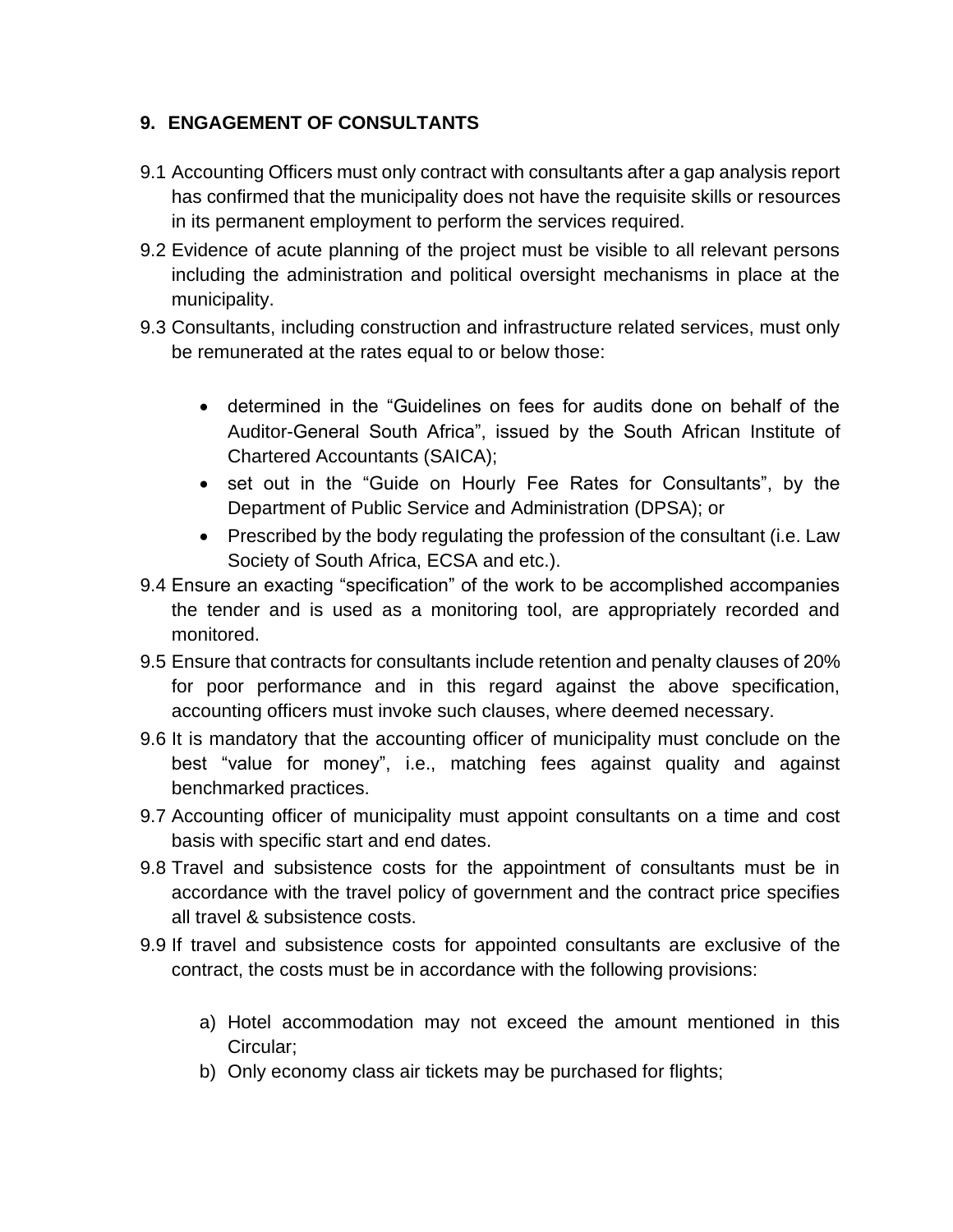## **9. ENGAGEMENT OF CONSULTANTS**

- 9.1 Accounting Officers must only contract with consultants after a gap analysis report has confirmed that the municipality does not have the requisite skills or resources in its permanent employment to perform the services required.
- 9.2 Evidence of acute planning of the project must be visible to all relevant persons including the administration and political oversight mechanisms in place at the municipality.
- 9.3 Consultants, including construction and infrastructure related services, must only be remunerated at the rates equal to or below those:
	- determined in the "Guidelines on fees for audits done on behalf of the Auditor-General South Africa", issued by the South African Institute of Chartered Accountants (SAICA);
	- set out in the "Guide on Hourly Fee Rates for Consultants", by the Department of Public Service and Administration (DPSA); or
	- Prescribed by the body regulating the profession of the consultant (i.e. Law Society of South Africa, ECSA and etc.).
- 9.4 Ensure an exacting "specification" of the work to be accomplished accompanies the tender and is used as a monitoring tool, are appropriately recorded and monitored.
- 9.5 Ensure that contracts for consultants include retention and penalty clauses of 20% for poor performance and in this regard against the above specification, accounting officers must invoke such clauses, where deemed necessary.
- 9.6 It is mandatory that the accounting officer of municipality must conclude on the best "value for money", i.e., matching fees against quality and against benchmarked practices.
- 9.7 Accounting officer of municipality must appoint consultants on a time and cost basis with specific start and end dates.
- 9.8 Travel and subsistence costs for the appointment of consultants must be in accordance with the travel policy of government and the contract price specifies all travel & subsistence costs.
- 9.9 If travel and subsistence costs for appointed consultants are exclusive of the contract, the costs must be in accordance with the following provisions:
	- a) Hotel accommodation may not exceed the amount mentioned in this Circular;
	- b) Only economy class air tickets may be purchased for flights;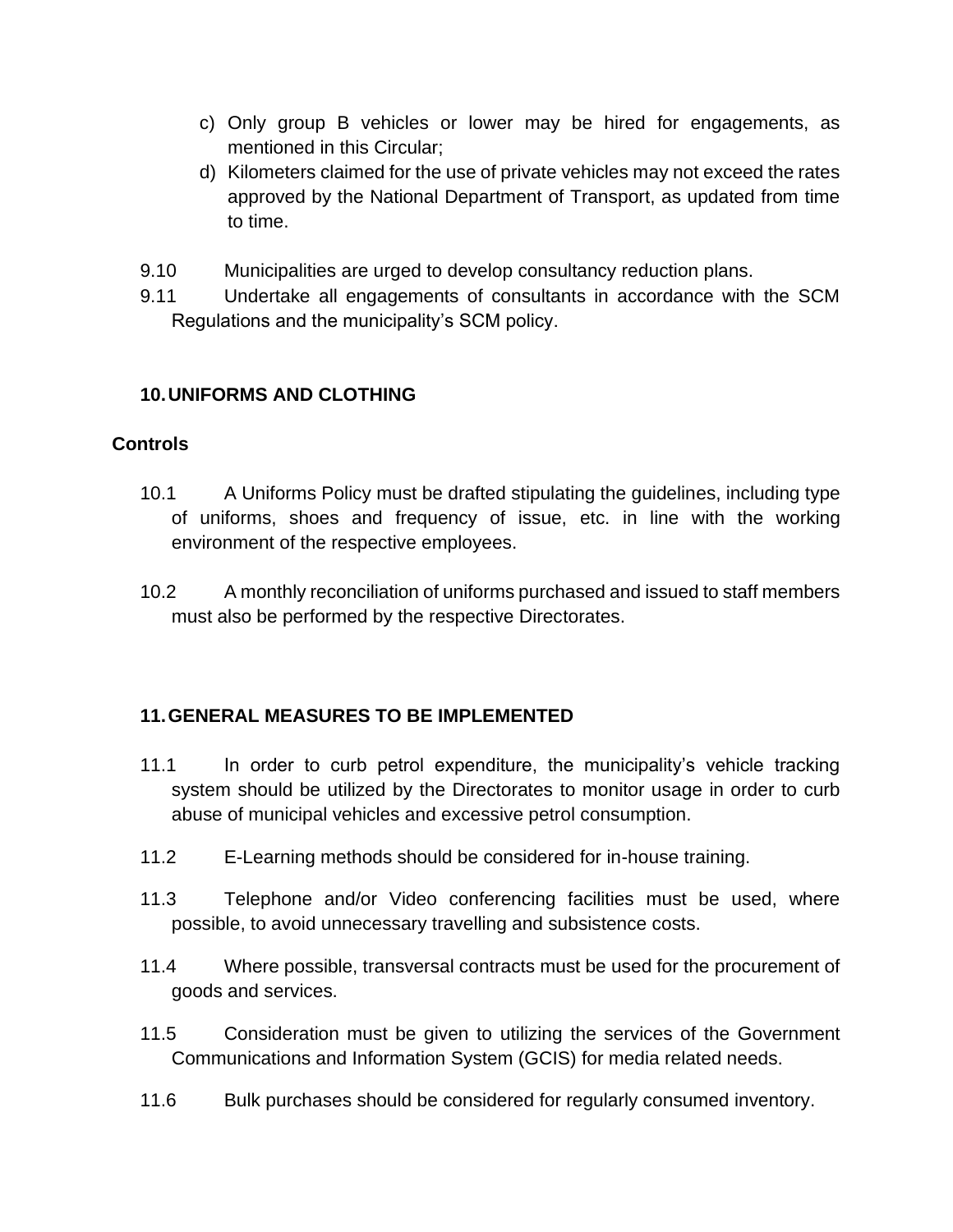- c) Only group B vehicles or lower may be hired for engagements, as mentioned in this Circular;
- d) Kilometers claimed for the use of private vehicles may not exceed the rates approved by the National Department of Transport, as updated from time to time.
- 9.10 Municipalities are urged to develop consultancy reduction plans.
- 9.11 Undertake all engagements of consultants in accordance with the SCM Regulations and the municipality's SCM policy.

#### **10.UNIFORMS AND CLOTHING**

#### **Controls**

- 10.1 A Uniforms Policy must be drafted stipulating the guidelines, including type of uniforms, shoes and frequency of issue, etc. in line with the working environment of the respective employees.
- 10.2 A monthly reconciliation of uniforms purchased and issued to staff members must also be performed by the respective Directorates.

#### **11.GENERAL MEASURES TO BE IMPLEMENTED**

- 11.1 In order to curb petrol expenditure, the municipality's vehicle tracking system should be utilized by the Directorates to monitor usage in order to curb abuse of municipal vehicles and excessive petrol consumption.
- 11.2 E-Learning methods should be considered for in-house training.
- 11.3 Telephone and/or Video conferencing facilities must be used, where possible, to avoid unnecessary travelling and subsistence costs.
- 11.4 Where possible, transversal contracts must be used for the procurement of goods and services.
- 11.5 Consideration must be given to utilizing the services of the Government Communications and Information System (GCIS) for media related needs.
- 11.6 Bulk purchases should be considered for regularly consumed inventory.